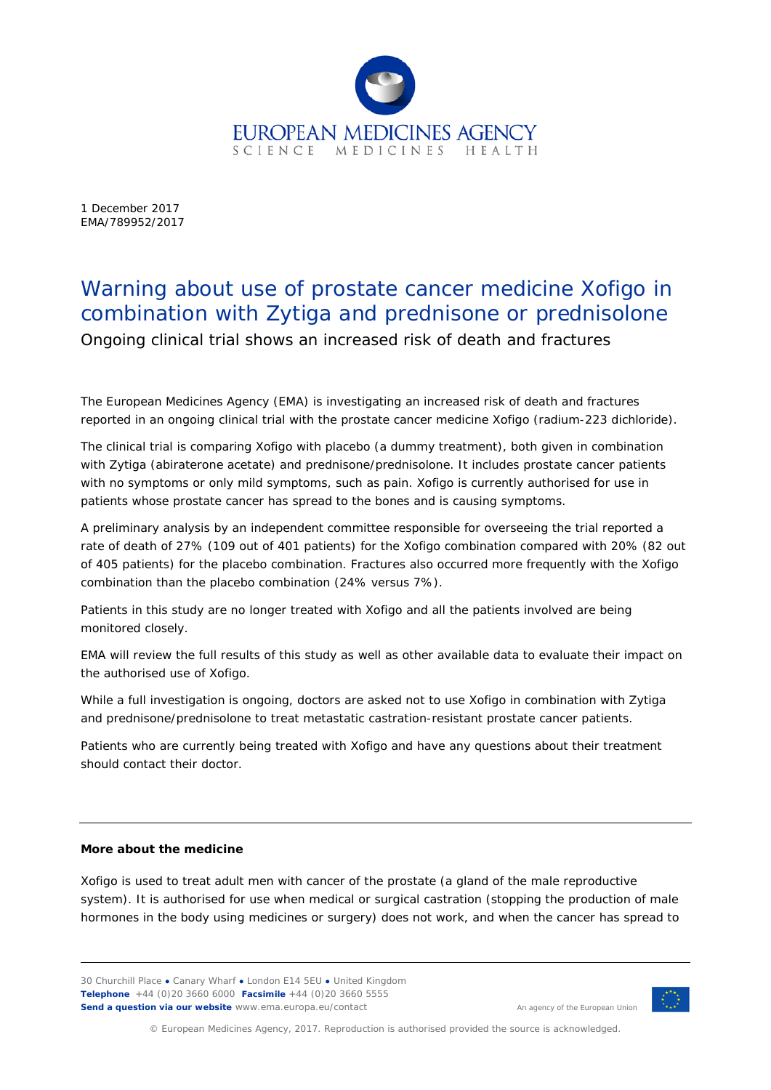

1 December 2017 EMA/789952/2017

## Warning about use of prostate cancer medicine Xofigo in combination with Zytiga and prednisone or prednisolone

Ongoing clinical trial shows an increased risk of death and fractures

The European Medicines Agency (EMA) is investigating an increased risk of death and fractures reported in an ongoing clinical trial with the prostate cancer medicine Xofigo (radium-223 dichloride).

The clinical trial is comparing Xofigo with placebo (a dummy treatment), both given in combination with Zytiga (abiraterone acetate) and prednisone/prednisolone. It includes prostate cancer patients with no symptoms or only mild symptoms, such as pain. Xofigo is currently authorised for use in patients whose prostate cancer has spread to the bones and is causing symptoms.

A preliminary analysis by an independent committee responsible for overseeing the trial reported a rate of death of 27% (109 out of 401 patients) for the Xofigo combination compared with 20% (82 out of 405 patients) for the placebo combination. Fractures also occurred more frequently with the Xofigo combination than the placebo combination (24% versus 7%).

Patients in this study are no longer treated with Xofigo and all the patients involved are being monitored closely.

EMA will review the full results of this study as well as other available data to evaluate their impact on the authorised use of Xofigo.

While a full investigation is ongoing, doctors are asked not to use Xofigo in combination with Zytiga and prednisone/prednisolone to treat metastatic castration-resistant prostate cancer patients.

Patients who are currently being treated with Xofigo and have any questions about their treatment should contact their doctor.

## **More about the medicine**

Xofigo is used to treat adult men with cancer of the prostate (a gland of the male reproductive system). It is authorised for use when medical or surgical castration (stopping the production of male hormones in the body using medicines or surgery) does not work, and when the cancer has spread to

30 Churchill Place **●** Canary Wharf **●** London E14 5EU **●** United Kingdom **Telephone** +44 (0)20 3660 6000 **Facsimile** +44 (0)20 3660 5555 **Send a question via our website** www.ema.europa.eu/contact



An agency of the European Union

© European Medicines Agency, 2017. Reproduction is authorised provided the source is acknowledged.